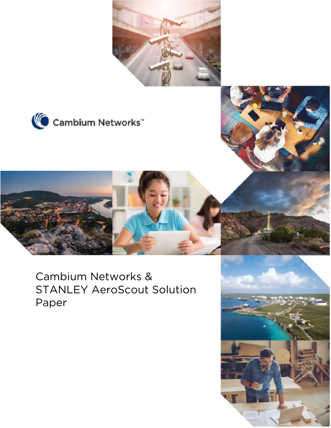





Cambium Networks & STANLEY AeroScout Solution Paper

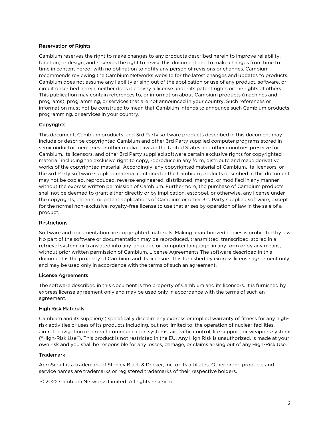#### Reservation of Rights

Cambium reserves the right to make changes to any products described herein to improve reliability, function, or design, and reserves the right to revise this document and to make changes from time to time in content hereof with no obligation to notify any person of revisions or changes. Cambium recommends reviewing the Cambium Networks website for the latest changes and updates to products. Cambium does not assume any liability arising out of the application or use of any product, software, or circuit described herein; neither does it convey a license under its patent rights or the rights of others. This publication may contain references to, or information about Cambium products (machines and programs), programming, or services that are not announced in your country. Such references or information must not be construed to mean that Cambium intends to announce such Cambium products, programming, or services in your country.

#### Copyrights

This document, Cambium products, and 3rd Party software products described in this document may include or describe copyrighted Cambium and other 3rd Party supplied computer programs stored in semiconductor memories or other media. Laws in the United States and other countries preserve for Cambium, its licensors, and other 3rd Party supplied software certain exclusive rights for copyrighted material, including the exclusive right to copy, reproduce in any form, distribute and make derivative works of the copyrighted material. Accordingly, any copyrighted material of Cambium, its licensors, or the 3rd Party software supplied material contained in the Cambium products described in this document may not be copied, reproduced, reverse engineered, distributed, merged, or modified in any manner without the express written permission of Cambium. Furthermore, the purchase of Cambium products shall not be deemed to grant either directly or by implication, estoppel, or otherwise, any license under the copyrights, patents, or patent applications of Cambium or other 3rd Party supplied software, except for the normal non-exclusive, royalty-free license to use that arises by operation of law in the sale of a product.

#### Restrictions

Software and documentation are copyrighted materials. Making unauthorized copies is prohibited by law. No part of the software or documentation may be reproduced, transmitted, transcribed, stored in a retrieval system, or translated into any language or computer language, in any form or by any means, without prior written permission of Cambium. License Agreements The software described in this document is the property of Cambium and its licensors. It is furnished by express license agreement only and may be used only in accordance with the terms of such an agreement.

#### License Agreements

The software described in this document is the property of Cambium and its licensors. It is furnished by express license agreement only and may be used only in accordance with the terms of such an agreement.

#### High Risk Materials

Cambium and its supplier(s) specifically disclaim any express or implied warranty of fitness for any highrisk activities or uses of its products including, but not limited to, the operation of nuclear facilities, aircraft navigation or aircraft communication systems, air traffic control, life support, or weapons systems ("High-Risk Use"). This product is not restricted in the EU. Any High Risk is unauthorized, is made at your own risk and you shall be responsible for any losses, damage, or claims arising out of any High-Risk Use.

#### Trademark

AeroScout is a trademark of Stanley Black & Decker, Inc. or its affiliates. Other brand products and service names are trademarks or registered trademarks of their respective holders.

© 2022 Cambium Networks Limited. All rights reserved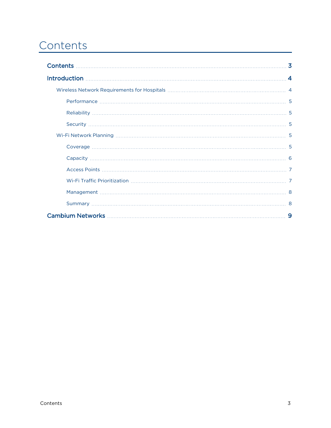# <span id="page-2-0"></span>**Contents**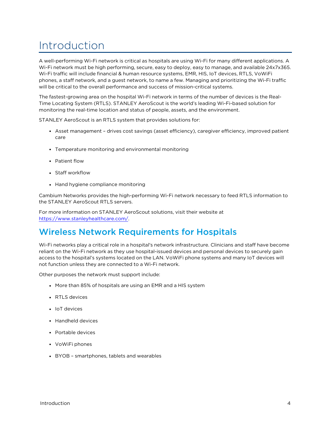## <span id="page-3-0"></span>Introduction

A well-performing Wi-Fi network is critical as hospitals are using Wi-Fi for many different applications. A Wi-Fi network must be high performing, secure, easy to deploy, easy to manage, and available 24x7x365. Wi-Fi traffic will include financial & human resource systems, EMR, HIS, IoT devices, RTLS, VoWiFi phones, a staff network, and a guest network, to name a few. Managing and prioritizing the Wi-Fi traffic will be critical to the overall performance and success of mission-critical systems.

The fastest-growing area on the hospital Wi-Fi network in terms of the number of devices is the Real-Time Locating System (RTLS). STANLEY AeroScout is the world's leading Wi-Fi-based solution for monitoring the real-time location and status of people, assets, and the environment.

STANLEY AeroScout is an RTLS system that provides solutions for:

- Asset management drives cost savings (asset efficiency), caregiver efficiency, improved patient care
- Temperature monitoring and environmental monitoring
- Patient flow
- Staff workflow
- Hand hygiene compliance monitoring

Cambium Networks provides the high-performing Wi-Fi network necessary to feed RTLS information to the STANLEY AeroScout RTLS servers.

<span id="page-3-1"></span>For more information on STANLEY AeroScout solutions, visit their website at <https://www.stanleyhealthcare.com/>.

## Wireless Network Requirements for Hospitals

Wi-Fi networks play a critical role in a hospital's network infrastructure. Clinicians and staff have become reliant on the Wi-Fi network as they use hospital-issued devices and personal devices to securely gain access to the hospital's systems located on the LAN. VoWiFi phone systems and many IoT devices will not function unless they are connected to a Wi-Fi network.

Other purposes the network must support include:

- More than 85% of hospitals are using an EMR and a HIS system
- RTLS devices
- IoT devices
- Handheld devices
- Portable devices
- VoWiFi phones
- BYOB smartphones, tablets and wearables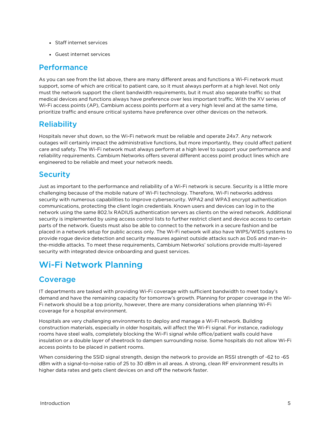- Staff internet services
- <span id="page-4-0"></span>• Guest internet services

### Performance

As you can see from the list above, there are many different areas and functions a Wi-Fi network must support, some of which are critical to patient care, so it must always perform at a high level. Not only must the network support the client bandwidth requirements, but it must also separate traffic so that medical devices and functions always have preference over less important traffic. With the XV series of Wi-Fi access points (AP), Cambium access points perform at a very high level and at the same time, prioritize traffic and ensure critical systems have preference over other devices on the network.

## <span id="page-4-1"></span>**Reliability**

Hospitals never shut down, so the Wi-Fi network must be reliable and operate 24x7. Any network outages will certainly impact the administrative functions, but more importantly, they could affect patient care and safety. The Wi-Fi network must always perform at a high level to support your performance and reliability requirements. Cambium Networks offers several different access point product lines which are engineered to be reliable and meet your network needs.

## <span id="page-4-2"></span>**Security**

Just as important to the performance and reliability of a Wi-Fi network is secure. Security is a little more challenging because of the mobile nature of Wi-Fi technology. Therefore, Wi-Fi networks address security with numerous capabilities to improve cybersecurity. WPA2 and WPA3 encrypt authentication communications, protecting the client login credentials. Known users and devices can log in to the network using the same 802.1x RADIUS authentication servers as clients on the wired network. Additional security is implemented by using access control lists to further restrict client and device access to certain parts of the network. Guests must also be able to connect to the network in a secure fashion and be placed in a network setup for public access only. The Wi-Fi network will also have WIPS/WIDS systems to provide rogue device detection and security measures against outside attacks such as DoS and man-inthe-middle attacks. To meet these requirements, Cambium Networks' solutions provide multi-layered security with integrated device onboarding and guest services.

## <span id="page-4-4"></span><span id="page-4-3"></span>Wi-Fi Network Planning

## Coverage

IT departments are tasked with providing Wi-Fi coverage with sufficient bandwidth to meet today's demand and have the remaining capacity for tomorrow's growth. Planning for proper coverage in the Wi-Fi network should be a top priority, however, there are many considerations when planning Wi-Fi coverage for a hospital environment.

Hospitals are very challenging environments to deploy and manage a Wi-Fi network. Building construction materials, especially in older hospitals, will affect the Wi-Fi signal. For instance, radiology rooms have steel walls, completely blocking the Wi-Fi signal while office/patient walls could have insulation or a double layer of sheetrock to dampen surrounding noise. Some hospitals do not allow Wi-Fi access points to be placed in patient rooms.

When considering the SSID signal strength, design the network to provide an RSSI strength of -62 to -65 dBm with a signal-to-noise ratio of 25 to 30 dBm in all areas. A strong, clean RF environment results in higher data rates and gets client devices on and off the network faster.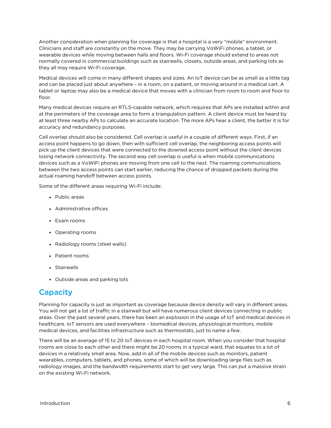Another consideration when planning for coverage is that a hospital is a very "mobile" environment. Clinicians and staff are constantly on the move. They may be carrying VoWiFi phones, a tablet, or wearable devices while moving between halls and floors. Wi-Fi coverage should extend to areas not normally covered in commercial buildings such as stairwells, closets, outside areas, and parking lots as they all may require Wi-Fi coverage.

Medical devices will come in many different shapes and sizes. An IoT device can be as small as a little tag and can be placed just about anywhere – in a room, on a patient, or moving around in a medical cart. A tablet or laptop may also be a medical device that moves with a clinician from room to room and floor to floor.

Many medical devices require an RTLS-capable network, which requires that APs are installed within and at the perimeters of the coverage area to form a triangulation pattern. A client device must be heard by at least three nearby APs to calculate an accurate location. The more APs hear a client, the better it is for accuracy and redundancy purposes.

Cell overlap should also be considered. Cell overlap is useful in a couple of different ways. First, if an access point happens to go down, then with sufficient cell overlap, the neighboring access points will pick up the client devices that were connected to the downed access point without the client devices losing network connectivity. The second way cell overlap is useful is when mobile communications devices such as a VoWiFi phones are moving from one cell to the next. The roaming communications between the two access points can start earlier, reducing the chance of dropped packets during the actual roaming handoff between access points.

Some of the different areas requiring Wi-Fi include:

- Public areas
- Administrative offices
- Exam rooms
- Operating rooms
- Radiology rooms (steel walls)
- Patient rooms
- Stairwells
- <span id="page-5-0"></span>• Outside areas and parking lots

#### **Capacity**

Planning for capacity is just as important as coverage because device density will vary in different areas. You will not get a lot of traffic in a stairwell but will have numerous client devices connecting in public areas. Over the past several years, there has been an explosion in the usage of IoT and medical devices in healthcare. IoT sensors are used everywhere – biomedical devices, physiological monitors, mobile medical devices, and facilities infrastructure such as thermostats, just to name a few.

There will be an average of 15 to 20 IoT devices in each hospital room. When you consider that hospital rooms are close to each other and there might be 20 rooms in a typical ward, that equates to a lot of devices in a relatively small area. Now, add in all of the mobile devices such as monitors, patient wearables, computers, tablets, and phones, some of which will be downloading large files such as radiology images, and the bandwidth requirements start to get very large. This can put a massive strain on the existing Wi-Fi network.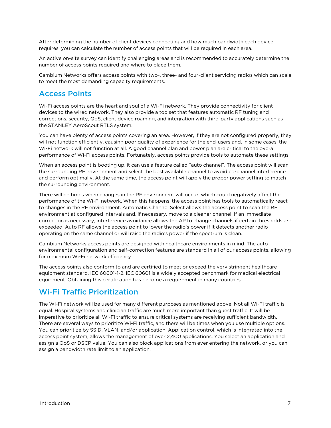After determining the number of client devices connecting and how much bandwidth each device requires, you can calculate the number of access points that will be required in each area.

An active on-site survey can identify challenging areas and is recommended to accurately determine the number of access points required and where to place them.

<span id="page-6-0"></span>Cambium Networks offers access points with two-, three- and four-client servicing radios which can scale to meet the most demanding capacity requirements.

### Access Points

Wi-Fi access points are the heart and soul of a Wi-Fi network. They provide connectivity for client devices to the wired network. They also provide a toolset that features automatic RF tuning and corrections, security, QoS, client device roaming, and integration with third-party applications such as the STANLEY AeroScout RTLS system.

You can have plenty of access points covering an area. However, if they are not configured properly, they will not function efficiently, causing poor quality of experience for the end-users and, in some cases, the Wi-Fi network will not function at all. A good channel plan and power plan are critical to the overall performance of Wi-Fi access points. Fortunately, access points provide tools to automate these settings.

When an access point is booting up, it can use a feature called "auto channel". The access point will scan the surrounding RF environment and select the best available channel to avoid co-channel interference and perform optimally. At the same time, the access point will apply the proper power setting to match the surrounding environment.

There will be times when changes in the RF environment will occur, which could negatively affect the performance of the Wi-Fi network. When this happens, the access point has tools to automatically react to changes in the RF environment. Automatic Channel Select allows the access point to scan the RF environment at configured intervals and, if necessary, move to a cleaner channel. If an immediate correction is necessary, interference avoidance allows the AP to change channels if certain thresholds are exceeded. Auto RF allows the access point to lower the radio's power if it detects another radio operating on the same channel or will raise the radio's power if the spectrum is clean.

Cambium Networks access points are designed with healthcare environments in mind. The auto environmental configuration and self-correction features are standard in all of our access points, allowing for maximum Wi-Fi network efficiency.

The access points also conform to and are certified to meet or exceed the very stringent healthcare equipment standard, IEC 60601-1-2. IEC 60601 is a widely accepted benchmark for medical electrical equipment. Obtaining this certification has become a requirement in many countries.

## <span id="page-6-1"></span>Wi-Fi Traffic Prioritization

The Wi-Fi network will be used for many different purposes as mentioned above. Not all Wi-Fi traffic is equal. Hospital systems and clinician traffic are much more important than guest traffic. It will be imperative to prioritize all Wi-Fi traffic to ensure critical systems are receiving sufficient bandwidth. There are several ways to prioritize Wi-Fi traffic, and there will be times when you use multiple options. You can prioritize by SSID, VLAN, and/or application. Application control, which is integrated into the access point system, allows the management of over 2,400 applications. You select an application and assign a QoS or DSCP value. You can also block applications from ever entering the network, or you can assign a bandwidth rate limit to an application.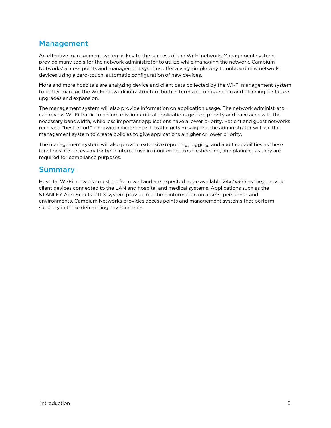## <span id="page-7-0"></span>Management

An effective management system is key to the success of the Wi-Fi network. Management systems provide many tools for the network administrator to utilize while managing the network. Cambium Networks' access points and management systems offer a very simple way to onboard new network devices using a zero-touch, automatic configuration of new devices.

More and more hospitals are analyzing device and client data collected by the Wi-Fi management system to better manage the Wi-Fi network infrastructure both in terms of configuration and planning for future upgrades and expansion.

The management system will also provide information on application usage. The network administrator can review Wi-Fi traffic to ensure mission-critical applications get top priority and have access to the necessary bandwidth, while less important applications have a lower priority. Patient and guest networks receive a "best-effort" bandwidth experience. If traffic gets misaligned, the administrator will use the management system to create policies to give applications a higher or lower priority.

The management system will also provide extensive reporting, logging, and audit capabilities as these functions are necessary for both internal use in monitoring, troubleshooting, and planning as they are required for compliance purposes.

### <span id="page-7-1"></span>Summary

Hospital Wi-Fi networks must perform well and are expected to be available 24x7x365 as they provide client devices connected to the LAN and hospital and medical systems. Applications such as the STANLEY AeroScouts RTLS system provide real-time information on assets, personnel, and environments. Cambium Networks provides access points and management systems that perform superbly in these demanding environments.